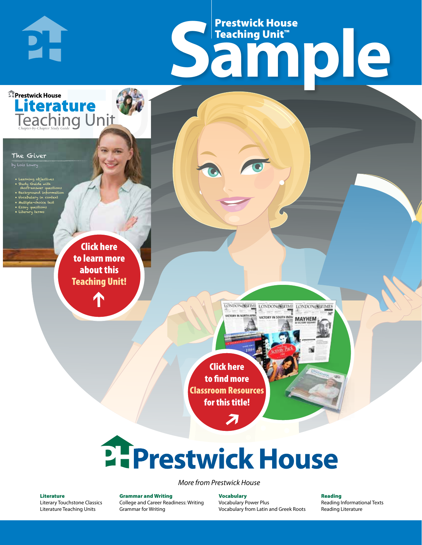# Frestwick House<br>
Sample Prestwick House Teaching Unit™

LONDON-SCITME LONDON/SCITME LONDON/SCITMES USERVAN IN COID

**MAYHEM** 

**Prestwick House** Literature

**PH** 

#### The Giver

- Learning objectives
- Study Guide with
- short-answer questions • Background information
- Vocabulary in context

**A Tale of Two Cities**

CHARLES DICKENS

- Multiple-choice test • Essay questions
- Literary terms

r e o r d e r n o . x x x x x x Click here to learn more about this [Teaching Unit!](https://www.prestwickhouse.com/pdf/id-200750/Giver_The_-_Downloadable_Teaching_Unit)

 $\mathbf{T}$ 

1

Click here to find more [Classroom Resources](http://teaching-english.prestwickhouse.com/search#w=the%20giver)  for this title!

 $\overline{\boldsymbol{\lambda}}$ 

# 2. Prestwick House

### *More from Prestwick House*

#### Literature

[Literary Touchstone Classics](https://www.prestwickhouse.com/literary-touchstone-classics) [Literature Teaching Units](https://www.prestwickhouse.com/teaching-units)

Grammar and Writing [College and Career Readiness: Writing](https://www.prestwickhouse.com/college-and-career-readiness-writing) [Grammar for Writing](https://www.prestwickhouse.com/book/id-302639/Grammar_for_Writing_-_30_Books_and_Teachers_Edition)

Vocabulary [Vocabulary Power Plus](https://www.prestwickhouse.com/vocabulary-power-plus-for-college-and-career-readiness) [Vocabulary from Latin and Greek Roots](https://www.prestwickhouse.com/vocabulary-from-latin-and-greek-roots) Reading

[Reading Informational Texts](https://www.prestwickhouse.com/reading-informational-texts) [Reading Literature](https://www.prestwickhouse.com/reading-literature)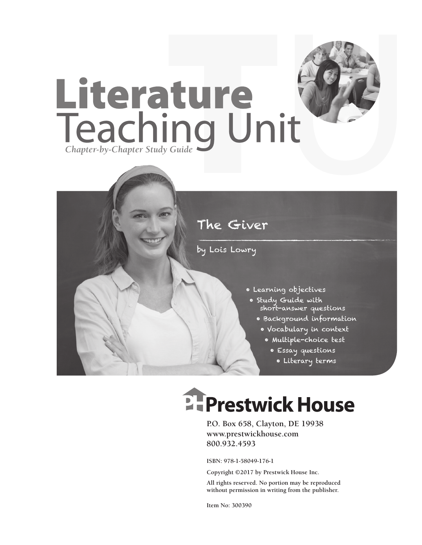

### The Giver

by Lois Lowry

- Learning objectives
	- Study Guide with short-answer questions
		- Background information
		- Vocabulary in context
			- Multiple-choice test
				- Essay questions
					- Literary terms

# **EFPrestwick House**

**P.O. Box 658, Clayton, DE 19938 www.prestwickhouse.com 800.932.4593**

**ISBN: 978-1-58049-176-1**

**Copyright ©2017 by Prestwick House Inc.**

**All rights reserved. No portion may be reproduced without permission in writing from the publisher.**

**Item No: 300390**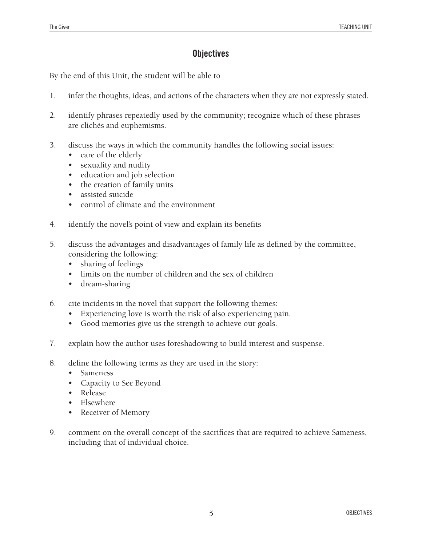### **Objectives**

By the end of this Unit, the student will be able to

- 1. infer the thoughts, ideas, and actions of the characters when they are not expressly stated.
- 2. identify phrases repeatedly used by the community; recognize which of these phrases are clichés and euphemisms.
- 3. discuss the ways in which the community handles the following social issues:
	- care of the elderly
	- sexuality and nudity
	- • education and job selection
	- the creation of family units
	- assisted suicide
	- control of climate and the environment
- 4. identify the novel's point of view and explain its benefits
- 5. discuss the advantages and disadvantages of family life as defined by the committee, considering the following:
	- sharing of feelings
	- limits on the number of children and the sex of children
	- dream-sharing
- 6. cite incidents in the novel that support the following themes:
	- Experiencing love is worth the risk of also experiencing pain.
	- Good memories give us the strength to achieve our goals.
- 7. explain how the author uses foreshadowing to build interest and suspense.
- 8. define the following terms as they are used in the story:
	- Sameness
	- • Capacity to See Beyond
	- Release
	- **Elsewhere**
	- Receiver of Memory
- 9. comment on the overall concept of the sacrifices that are required to achieve Sameness, including that of individual choice.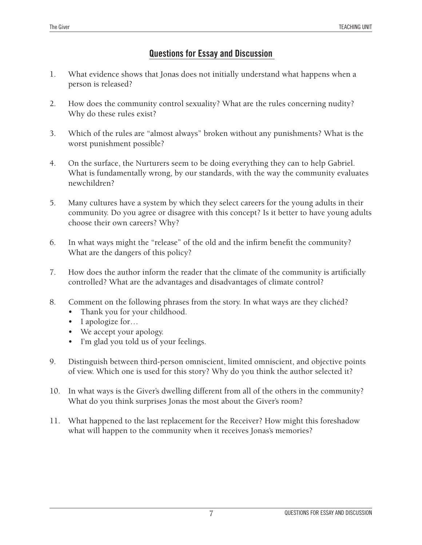### **Questions for Essay and Discussion**

- 1. What evidence shows that Jonas does not initially understand what happens when a person is released?
- 2. How does the community control sexuality? What are the rules concerning nudity? Why do these rules exist?
- 3. Which of the rules are "almost always" broken without any punishments? What is the worst punishment possible?
- 4. On the surface, the Nurturers seem to be doing everything they can to help Gabriel. What is fundamentally wrong, by our standards, with the way the community evaluates newchildren?
- 5. Many cultures have a system by which they select careers for the young adults in their community. Do you agree or disagree with this concept? Is it better to have young adults choose their own careers? Why?
- 6. In what ways might the "release" of the old and the infirm benefit the community? What are the dangers of this policy?
- 7. How does the author inform the reader that the climate of the community is artificially controlled? What are the advantages and disadvantages of climate control?
- 8. Comment on the following phrases from the story. In what ways are they clichéd?
	- Thank you for your childhood.
	- I apologize for...
	- We accept your apology.
	- I'm glad you told us of your feelings.
- 9. Distinguish between third-person omniscient, limited omniscient, and objective points of view. Which one is used for this story? Why do you think the author selected it?
- 10. In what ways is the Giver's dwelling different from all of the others in the community? What do you think surprises Jonas the most about the Giver's room?
- 11. What happened to the last replacement for the Receiver? How might this foreshadow what will happen to the community when it receives Jonas's memories?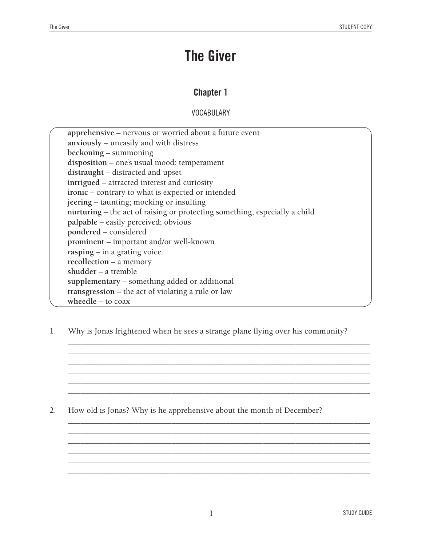## **The Giver**

### **Chapter 1**

**VOCABULARY** 

| apprehensive – nervous or worried about a future event                     |  |
|----------------------------------------------------------------------------|--|
| anxiously – uneasily and with distress                                     |  |
| beckoning – summoning                                                      |  |
| disposition – one's usual mood; temperament                                |  |
| distraught – distracted and upset                                          |  |
| intrigued – attracted interest and curiosity                               |  |
| ironic - contrary to what is expected or intended                          |  |
| jeering – taunting; mocking or insulting                                   |  |
| nurturing – the act of raising or protecting something, especially a child |  |
| palpable – easily perceived; obvious                                       |  |
| pondered – considered                                                      |  |
| prominent - important and/or well-known                                    |  |
| $rasing - in a grating voice$                                              |  |
| $recollection - a memory$                                                  |  |
| shudder $-$ a tremble                                                      |  |
| supplementary – something added or additional                              |  |
| transgression – the act of violating a rule or law                         |  |
| wheedle $-$ to coax                                                        |  |

1. Why is Jonas frightened when he sees a strange plane flying over his community?

*\_\_\_\_\_\_\_\_\_\_\_\_\_\_\_\_\_\_\_\_\_\_\_\_\_\_\_\_\_\_\_\_\_\_\_\_\_\_\_\_\_\_\_\_\_\_\_\_\_\_\_\_\_\_\_\_\_\_\_\_\_\_\_\_\_\_\_\_\_\_\_\_\_ \_\_\_\_\_\_\_\_\_\_\_\_\_\_\_\_\_\_\_\_\_\_\_\_\_\_\_\_\_\_\_\_\_\_\_\_\_\_\_\_\_\_\_\_\_\_\_\_\_\_\_\_\_\_\_\_\_\_\_\_\_\_\_\_\_\_\_\_\_\_\_\_\_ \_\_\_\_\_\_\_\_\_\_\_\_\_\_\_\_\_\_\_\_\_\_\_\_\_\_\_\_\_\_\_\_\_\_\_\_\_\_\_\_\_\_\_\_\_\_\_\_\_\_\_\_\_\_\_\_\_\_\_\_\_\_\_\_\_\_\_\_\_\_\_\_\_ \_\_\_\_\_\_\_\_\_\_\_\_\_\_\_\_\_\_\_\_\_\_\_\_\_\_\_\_\_\_\_\_\_\_\_\_\_\_\_\_\_\_\_\_\_\_\_\_\_\_\_\_\_\_\_\_\_\_\_\_\_\_\_\_\_\_\_\_\_\_\_\_\_ \_\_\_\_\_\_\_\_\_\_\_\_\_\_\_\_\_\_\_\_\_\_\_\_\_\_\_\_\_\_\_\_\_\_\_\_\_\_\_\_\_\_\_\_\_\_\_\_\_\_\_\_\_\_\_\_\_\_\_\_\_\_\_\_\_\_\_\_\_\_\_\_\_ \_\_\_\_\_\_\_\_\_\_\_\_\_\_\_\_\_\_\_\_\_\_\_\_\_\_\_\_\_\_\_\_\_\_\_\_\_\_\_\_\_\_\_\_\_\_\_\_\_\_\_\_\_\_\_\_\_\_\_\_\_\_\_\_\_\_\_\_\_\_\_\_\_*

*\_\_\_\_\_\_\_\_\_\_\_\_\_\_\_\_\_\_\_\_\_\_\_\_\_\_\_\_\_\_\_\_\_\_\_\_\_\_\_\_\_\_\_\_\_\_\_\_\_\_\_\_\_\_\_\_\_\_\_\_\_\_\_\_\_\_\_\_\_\_\_\_\_ \_\_\_\_\_\_\_\_\_\_\_\_\_\_\_\_\_\_\_\_\_\_\_\_\_\_\_\_\_\_\_\_\_\_\_\_\_\_\_\_\_\_\_\_\_\_\_\_\_\_\_\_\_\_\_\_\_\_\_\_\_\_\_\_\_\_\_\_\_\_\_\_\_ \_\_\_\_\_\_\_\_\_\_\_\_\_\_\_\_\_\_\_\_\_\_\_\_\_\_\_\_\_\_\_\_\_\_\_\_\_\_\_\_\_\_\_\_\_\_\_\_\_\_\_\_\_\_\_\_\_\_\_\_\_\_\_\_\_\_\_\_\_\_\_\_\_ \_\_\_\_\_\_\_\_\_\_\_\_\_\_\_\_\_\_\_\_\_\_\_\_\_\_\_\_\_\_\_\_\_\_\_\_\_\_\_\_\_\_\_\_\_\_\_\_\_\_\_\_\_\_\_\_\_\_\_\_\_\_\_\_\_\_\_\_\_\_\_\_\_ \_\_\_\_\_\_\_\_\_\_\_\_\_\_\_\_\_\_\_\_\_\_\_\_\_\_\_\_\_\_\_\_\_\_\_\_\_\_\_\_\_\_\_\_\_\_\_\_\_\_\_\_\_\_\_\_\_\_\_\_\_\_\_\_\_\_\_\_\_\_\_\_\_ \_\_\_\_\_\_\_\_\_\_\_\_\_\_\_\_\_\_\_\_\_\_\_\_\_\_\_\_\_\_\_\_\_\_\_\_\_\_\_\_\_\_\_\_\_\_\_\_\_\_\_\_\_\_\_\_\_\_\_\_\_\_\_\_\_\_\_\_\_\_\_\_\_*

2. How old is Jonas? Why is he apprehensive about the month of December?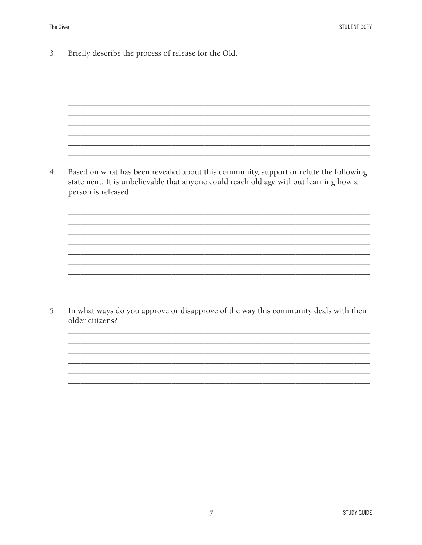3. Briefly describe the process of release for the Old. Based on what has been revealed about this community, support or refute the following  $4.$ statement: It is unbelievable that anyone could reach old age without learning how a person is released. 5. In what ways do you approve or disapprove of the way this community deals with their older citizens?